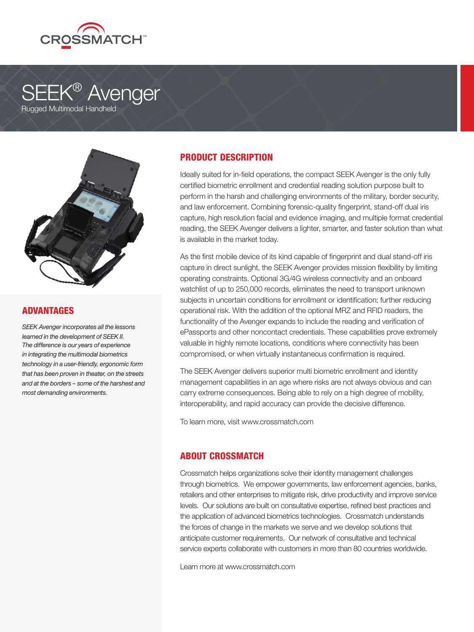

# **SEEK® Avenger** Rugged Multimodal Handheld



#### ADVANTAGES

*SEEK Avenger incorporates all the lessons learned in the development of SEEK II. The difference is our years of experience in integrating the multimodal biometrics technology in a user-friendly, ergonomic form that has been proven in theater, on the streets and at the borders – some of the harshest and most demanding environments.*

# PRODUCT DESCRIPTION

Ideally suited for in-field operations, the compact SEEK Avenger is the only fully certified biometric enrollment and credential reading solution purpose built to perform in the harsh and challenging environments of the military, border security, and law enforcement. Combining forensic-quality fingerprint, stand-off dual iris capture, high resolution facial and evidence imaging, and multiple format credential reading, the SEEK Avenger delivers a lighter, smarter, and faster solution than what is available in the market today.

As the first mobile device of its kind capable of fingerprint and dual stand-off iris capture in direct sunlight, the SEEK Avenger provides mission flexibility by limiting operating constraints. Optional 3G/4G wireless connectivity and an onboard watchlist of up to 250,000 records, eliminates the need to transport unknown subjects in uncertain conditions for enrollment or identification; further reducing operational risk. With the addition of the optional MRZ and RFID readers, the functionality of the Avenger expands to include the reading and verification of ePassports and other noncontact credentials. These capabilities prove extremely valuable in highly remote locations, conditions where connectivity has been compromised, or when virtually instantaneous confirmation is required.

The SEEK Avenger delivers superior multi biometric enrollment and identity management capabilities in an age where risks are not always obvious and can carry extreme consequences. Being able to rely on a high degree of mobility, interoperability, and rapid accuracy can provide the decisive difference.

To learn more, visit www.crossmatch.com

## ABOUT CROSSMATCH

Crossmatch helps organizations solve their identity management challenges through biometrics. We empower governments, law enforcement agencies, banks, retailers and other enterprises to mitigate risk, drive productivity and improve service levels. Our solutions are built on consultative expertise, refined best practices and the application of advanced biometrics technologies. Crossmatch understands the forces of change in the markets we serve and we develop solutions that anticipate customer requirements. Our network of consultative and technical service experts collaborate with customers in more than 80 countries worldwide.

Learn more at www.crossmatch.com